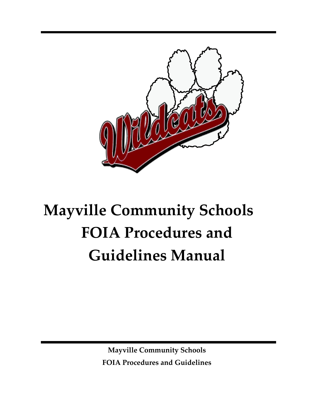

# **Mayville Community Schools FOIA Procedures and Guidelines Manual**

**Mayville Community Schools FOIA Procedures and Guidelines**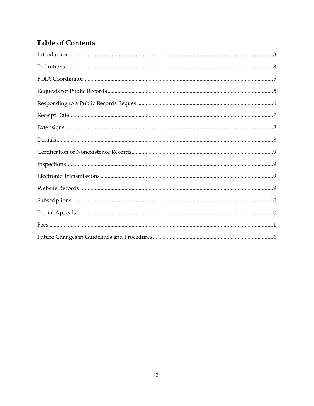## **Table of Contents**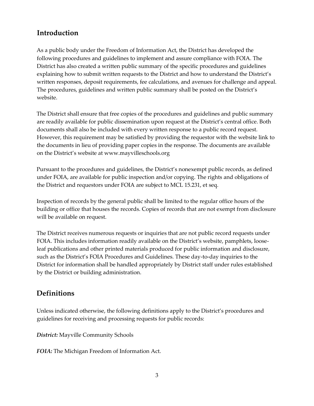## <span id="page-2-0"></span>**Introduction**

As a public body under the Freedom of Information Act, the District has developed the following procedures and guidelines to implement and assure compliance with FOIA. The District has also created a written public summary of the specific procedures and guidelines explaining how to submit written requests to the District and how to understand the District's written responses, deposit requirements, fee calculations, and avenues for challenge and appeal. The procedures, guidelines and written public summary shall be posted on the District's website.

The District shall ensure that free copies of the procedures and guidelines and public summary are readily available for public dissemination upon request at the District's central office. Both documents shall also be included with every written response to a public record request. However, this requirement may be satisfied by providing the requestor with the website link to the documents in lieu of providing paper copies in the response. The documents are available on the District's website at www.mayvilleschools.org

Pursuant to the procedures and guidelines, the District's nonexempt public records, as defined under FOIA, are available for public inspection and/or copying. The rights and obligations of the District and requestors under FOIA are subject to MCL 15.231, et seq.

Inspection of records by the general public shall be limited to the regular office hours of the building or office that houses the records. Copies of records that are not exempt from disclosure will be available on request.

The District receives numerous requests or inquiries that are not public record requests under FOIA. This includes information readily available on the District's website, pamphlets, looseleaf publications and other printed materials produced for public information and disclosure, such as the District's FOIA Procedures and Guidelines. These day-to-day inquiries to the District for information shall be handled appropriately by District staff under rules established by the District or building administration.

#### <span id="page-2-1"></span>**Definitions**

Unless indicated otherwise, the following definitions apply to the District's procedures and guidelines for receiving and processing requests for public records:

*District:* Mayville Community Schools

*FOIA:* The Michigan Freedom of Information Act.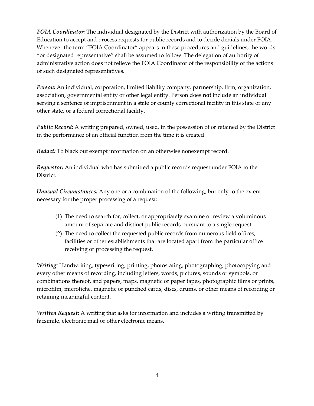*FOIA Coordinator:* The individual designated by the District with authorization by the Board of Education to accept and process requests for public records and to decide denials under FOIA. Whenever the term "FOIA Coordinator" appears in these procedures and guidelines, the words "or designated representative" shall be assumed to follow. The delegation of authority of administrative action does not relieve the FOIA Coordinator of the responsibility of the actions of such designated representatives.

*Person:* An individual, corporation, limited liability company, partnership, firm, organization, association, governmental entity or other legal entity. Person does **not** include an individual serving a sentence of imprisonment in a state or county correctional facility in this state or any other state, or a federal correctional facility.

*Public Record*: A writing prepared, owned, used, in the possession of or retained by the District in the performance of an official function from the time it is created.

*Redact:* To black out exempt information on an otherwise nonexempt record.

*Requestor:* An individual who has submitted a public records request under FOIA to the District.

*Unusual Circumstances:* Any one or a combination of the following, but only to the extent necessary for the proper processing of a request:

- (1) The need to search for, collect, or appropriately examine or review a voluminous amount of separate and distinct public records pursuant to a single request.
- (2) The need to collect the requested public records from numerous field offices, facilities or other establishments that are located apart from the particular office receiving or processing the request.

*Writing:* Handwriting, typewriting, printing, photostating, photographing, photocopying and every other means of recording, including letters, words, pictures, sounds or symbols, or combinations thereof, and papers, maps, magnetic or paper tapes, photographic films or prints, microfilm, microfiche, magnetic or punched cards, discs, drums, or other means of recording or retaining meaningful content.

*Written Request*: A writing that asks for information and includes a writing transmitted by facsimile, electronic mail or other electronic means.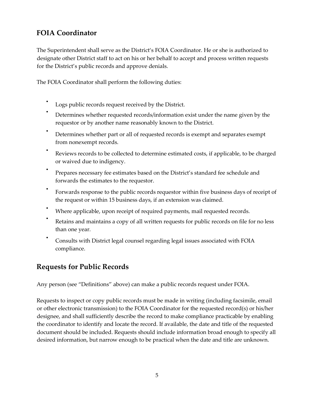## <span id="page-4-0"></span>**FOIA Coordinator**

The Superintendent shall serve as the District's FOIA Coordinator. He or she is authorized to designate other District staff to act on his or her behalf to accept and process written requests for the District's public records and approve denials.

The FOIA Coordinator shall perform the following duties:

- Logs public records request received by the District.
- Determines whether requested records/information exist under the name given by the requestor or by another name reasonably known to the District.
- Determines whether part or all of requested records is exempt and separates exempt from nonexempt records.
- Reviews records to be collected to determine estimated costs, if applicable, to be charged or waived due to indigency.
- Prepares necessary fee estimates based on the District's standard fee schedule and forwards the estimates to the requestor.
- Forwards response to the public records requestor within five business days of receipt of the request or within 15 business days, if an extension was claimed.
- Where applicable, upon receipt of required payments, mail requested records.
- Retains and maintains a copy of all written requests for public records on file for no less than one year.
- Consults with District legal counsel regarding legal issues associated with FOIA compliance.

#### <span id="page-4-1"></span>**Requests for Public Records**

Any person (see "Definitions" above) can make a public records request under FOIA.

Requests to inspect or copy public records must be made in writing (including facsimile, email or other electronic transmission) to the FOIA Coordinator for the requested record(s) or his/her designee, and shall sufficiently describe the record to make compliance practicable by enabling the coordinator to identify and locate the record. If available, the date and title of the requested document should be included. Requests should include information broad enough to specify all desired information, but narrow enough to be practical when the date and title are unknown.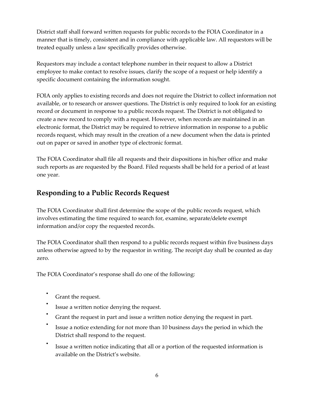District staff shall forward written requests for public records to the FOIA Coordinator in a manner that is timely, consistent and in compliance with applicable law. All requestors will be treated equally unless a law specifically provides otherwise.

Requestors may include a contact telephone number in their request to allow a District employee to make contact to resolve issues, clarify the scope of a request or help identify a specific document containing the information sought.

FOIA only applies to existing records and does not require the District to collect information not available, or to research or answer questions. The District is only required to look for an existing record or document in response to a public records request. The District is not obligated to create a new record to comply with a request. However, when records are maintained in an electronic format, the District may be required to retrieve information in response to a public records request, which may result in the creation of a new document when the data is printed out on paper or saved in another type of electronic format.

The FOIA Coordinator shall file all requests and their dispositions in his/her office and make such reports as are requested by the Board. Filed requests shall be held for a period of at least one year.

## <span id="page-5-0"></span>**Responding to a Public Records Request**

The FOIA Coordinator shall first determine the scope of the public records request, which involves estimating the time required to search for, examine, separate/delete exempt information and/or copy the requested records.

The FOIA Coordinator shall then respond to a public records request within five business days unless otherwise agreed to by the requestor in writing. The receipt day shall be counted as day zero.

The FOIA Coordinator's response shall do one of the following:

- Grant the request.
- Issue a written notice denying the request.
- Grant the request in part and issue a written notice denying the request in part.
- Issue a notice extending for not more than 10 business days the period in which the District shall respond to the request.
- Issue a written notice indicating that all or a portion of the requested information is available on the District's website.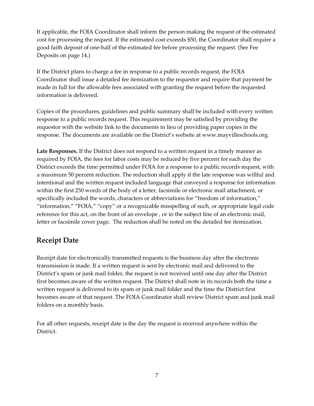If applicable, the FOIA Coordinator shall inform the person making the request of the estimated cost for processing the request. If the estimated cost exceeds \$50, the Coordinator shall require a good faith deposit of one-half of the estimated fee before processing the request. (See Fee Deposits on page 14.)

If the District plans to charge a fee in response to a public records request, the FOIA Coordinator shall issue a detailed fee itemization to the requestor and require that payment be made in full for the allowable fees associated with granting the request before the requested information is delivered.

Copies of the procedures, guidelines and public summary shall be included with every written response to a public records request. This requirement may be satisfied by providing the requestor with the website link to the documents in lieu of providing paper copies in the response. The documents are available on the District's website at www.mayvilleschools.org.

**Late Responses.** If the District does not respond to a written request in a timely manner as required by FOIA, the fees for labor costs may be reduced by five percent for each day the District exceeds the time permitted under FOIA for a response to a public records request, with a maximum 50 percent reduction. The reduction shall apply if the late response was willful and intentional and the written request included language that conveyed a response for information within the first 250 words of the body of a letter, facsimile or electronic mail attachment, or specifically included the words, characters or abbreviations for "freedom of information," "information," "FOIA," "copy" or a recognizable misspelling of such, or appropriate legal code reference for this act, on the front of an envelope , or in the subject line of an electronic mail, letter or facsimile cover page. The reduction shall be noted on the detailed fee itemization.

## <span id="page-6-0"></span>**Receipt Date**

Receipt date for electronically transmitted requests is the business day after the electronic transmission is made. If a written request is sent by electronic mail and delivered to the District's spam or junk mail folder, the request is not received until one day after the District first becomes aware of the written request. The District shall note in its records both the time a written request is delivered to its spam or junk mail folder and the time the District first becomes aware of that request. The FOIA Coordinator shall review District spam and junk mail folders on a monthly basis.

For all other requests, receipt date is the day the request is received anywhere within the District.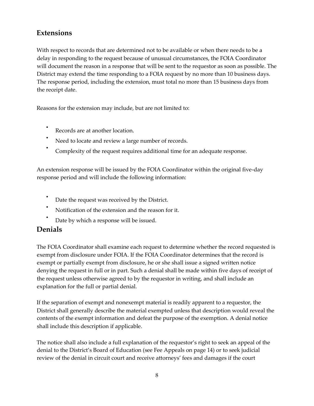#### <span id="page-7-0"></span>**Extensions**

With respect to records that are determined not to be available or when there needs to be a delay in responding to the request because of unusual circumstances, the FOIA Coordinator will document the reason in a response that will be sent to the requestor as soon as possible. The District may extend the time responding to a FOIA request by no more than 10 business days. The response period, including the extension, must total no more than 15 business days from the receipt date.

Reasons for the extension may include, but are not limited to:

- Records are at another location.
- Need to locate and review a large number of records.
- Complexity of the request requires additional time for an adequate response.

An extension response will be issued by the FOIA Coordinator within the original five-day response period and will include the following information:

- Date the request was received by the District.
- Notification of the extension and the reason for it.
- Date by which a response will be issued.

#### <span id="page-7-1"></span>**Denials**

The FOIA Coordinator shall examine each request to determine whether the record requested is exempt from disclosure under FOIA. If the FOIA Coordinator determines that the record is exempt or partially exempt from disclosure, he or she shall issue a signed written notice denying the request in full or in part. Such a denial shall be made within five days of receipt of the request unless otherwise agreed to by the requestor in writing, and shall include an explanation for the full or partial denial.

If the separation of exempt and nonexempt material is readily apparent to a requestor, the District shall generally describe the material exempted unless that description would reveal the contents of the exempt information and defeat the purpose of the exemption. A denial notice shall include this description if applicable.

The notice shall also include a full explanation of the requestor's right to seek an appeal of the denial to the District's Board of Education (see Fee Appeals on page 14) or to seek judicial review of the denial in circuit court and receive attorneys' fees and damages if the court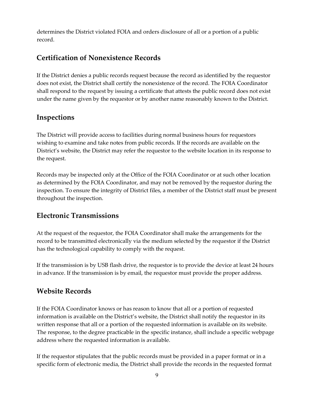determines the District violated FOIA and orders disclosure of all or a portion of a public record.

#### <span id="page-8-0"></span>**Certification of Nonexistence Records**

If the District denies a public records request because the record as identified by the requestor does not exist, the District shall certify the nonexistence of the record. The FOIA Coordinator shall respond to the request by issuing a certificate that attests the public record does not exist under the name given by the requestor or by another name reasonably known to the District.

## <span id="page-8-1"></span>**Inspections**

The District will provide access to facilities during normal business hours for requestors wishing to examine and take notes from public records. If the records are available on the District's website, the District may refer the requestor to the website location in its response to the request.

Records may be inspected only at the Office of the FOIA Coordinator or at such other location as determined by the FOIA Coordinator, and may not be removed by the requestor during the inspection. To ensure the integrity of District files, a member of the District staff must be present throughout the inspection.

## <span id="page-8-2"></span>**Electronic Transmissions**

At the request of the requestor, the FOIA Coordinator shall make the arrangements for the record to be transmitted electronically via the medium selected by the requestor if the District has the technological capability to comply with the request.

If the transmission is by USB flash drive, the requestor is to provide the device at least 24 hours in advance. If the transmission is by email, the requestor must provide the proper address.

## <span id="page-8-3"></span>**Website Records**

If the FOIA Coordinator knows or has reason to know that all or a portion of requested information is available on the District's website, the District shall notify the requestor in its written response that all or a portion of the requested information is available on its website. The response, to the degree practicable in the specific instance, shall include a specific webpage address where the requested information is available.

If the requestor stipulates that the public records must be provided in a paper format or in a specific form of electronic media, the District shall provide the records in the requested format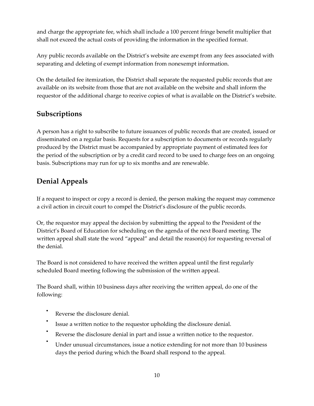and charge the appropriate fee, which shall include a 100 percent fringe benefit multiplier that shall not exceed the actual costs of providing the information in the specified format.

Any public records available on the District's website are exempt from any fees associated with separating and deleting of exempt information from nonexempt information.

On the detailed fee itemization, the District shall separate the requested public records that are available on its website from those that are not available on the website and shall inform the requestor of the additional charge to receive copies of what is available on the District's website.

## <span id="page-9-0"></span>**Subscriptions**

A person has a right to subscribe to future issuances of public records that are created, issued or disseminated on a regular basis. Requests for a subscription to documents or records regularly produced by the District must be accompanied by appropriate payment of estimated fees for the period of the subscription or by a credit card record to be used to charge fees on an ongoing basis. Subscriptions may run for up to six months and are renewable.

## <span id="page-9-1"></span>**Denial Appeals**

If a request to inspect or copy a record is denied, the person making the request may commence a civil action in circuit court to compel the District's disclosure of the public records.

Or, the requestor may appeal the decision by submitting the appeal to the President of the District's Board of Education for scheduling on the agenda of the next Board meeting. The written appeal shall state the word "appeal" and detail the reason(s) for requesting reversal of the denial.

The Board is not considered to have received the written appeal until the first regularly scheduled Board meeting following the submission of the written appeal.

The Board shall, within 10 business days after receiving the written appeal, do one of the following:

- Reverse the disclosure denial.
- Issue a written notice to the requestor upholding the disclosure denial.
- Reverse the disclosure denial in part and issue a written notice to the requestor.
- Under unusual circumstances, issue a notice extending for not more than 10 business days the period during which the Board shall respond to the appeal.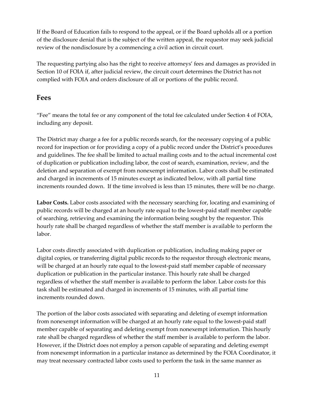If the Board of Education fails to respond to the appeal, or if the Board upholds all or a portion of the disclosure denial that is the subject of the written appeal, the requestor may seek judicial review of the nondisclosure by a commencing a civil action in circuit court.

The requesting partying also has the right to receive attorneys' fees and damages as provided in Section 10 of FOIA if, after judicial review, the circuit court determines the District has not complied with FOIA and orders disclosure of all or portions of the public record.

#### <span id="page-10-0"></span>**Fees**

"Fee" means the total fee or any component of the total fee calculated under Section 4 of FOIA, including any deposit.

The District may charge a fee for a public records search, for the necessary copying of a public record for inspection or for providing a copy of a public record under the District's procedures and guidelines. The fee shall be limited to actual mailing costs and to the actual incremental cost of duplication or publication including labor, the cost of search, examination, review, and the deletion and separation of exempt from nonexempt information. Labor costs shall be estimated and charged in increments of 15 minutes except as indicated below, with all partial time increments rounded down. If the time involved is less than 15 minutes, there will be no charge.

**Labor Costs.** Labor costs associated with the necessary searching for, locating and examining of public records will be charged at an hourly rate equal to the lowest-paid staff member capable of searching, retrieving and examining the information being sought by the requestor. This hourly rate shall be charged regardless of whether the staff member is available to perform the labor.

Labor costs directly associated with duplication or publication, including making paper or digital copies, or transferring digital public records to the requestor through electronic means, will be charged at an hourly rate equal to the lowest-paid staff member capable of necessary duplication or publication in the particular instance. This hourly rate shall be charged regardless of whether the staff member is available to perform the labor. Labor costs for this task shall be estimated and charged in increments of 15 minutes, with all partial time increments rounded down.

The portion of the labor costs associated with separating and deleting of exempt information from nonexempt information will be charged at an hourly rate equal to the lowest-paid staff member capable of separating and deleting exempt from nonexempt information. This hourly rate shall be charged regardless of whether the staff member is available to perform the labor. However, if the District does not employ a person capable of separating and deleting exempt from nonexempt information in a particular instance as determined by the FOIA Coordinator, it may treat necessary contracted labor costs used to perform the task in the same manner as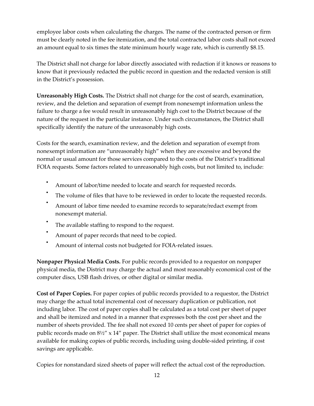employee labor costs when calculating the charges. The name of the contracted person or firm must be clearly noted in the fee itemization, and the total contracted labor costs shall not exceed an amount equal to six times the state minimum hourly wage rate, which is currently \$8.15.

The District shall not charge for labor directly associated with redaction if it knows or reasons to know that it previously redacted the public record in question and the redacted version is still in the District's possession.

**Unreasonably High Costs.** The District shall not charge for the cost of search, examination, review, and the deletion and separation of exempt from nonexempt information unless the failure to charge a fee would result in unreasonably high cost to the District because of the nature of the request in the particular instance. Under such circumstances, the District shall specifically identify the nature of the unreasonably high costs.

Costs for the search, examination review, and the deletion and separation of exempt from nonexempt information are "unreasonably high" when they are excessive and beyond the normal or usual amount for those services compared to the costs of the District's traditional FOIA requests. Some factors related to unreasonably high costs, but not limited to, include:

- Amount of labor/time needed to locate and search for requested records.
- The volume of files that have to be reviewed in order to locate the requested records.
- Amount of labor time needed to examine records to separate/redact exempt from nonexempt material.
- The available staffing to respond to the request.
- Amount of paper records that need to be copied.
- Amount of internal costs not budgeted for FOIA-related issues.

**Nonpaper Physical Media Costs.** For public records provided to a requestor on nonpaper physical media, the District may charge the actual and most reasonably economical cost of the computer discs, USB flash drives, or other digital or similar media.

**Cost of Paper Copies.** For paper copies of public records provided to a requestor, the District may charge the actual total incremental cost of necessary duplication or publication, not including labor. The cost of paper copies shall be calculated as a total cost per sheet of paper and shall be itemized and noted in a manner that expresses both the cost per sheet and the number of sheets provided. The fee shall not exceed 10 cents per sheet of paper for copies of public records made on  $8\frac{1}{2}$ " x 14" paper. The District shall utilize the most economical means available for making copies of public records, including using double-sided printing, if cost savings are applicable.

Copies for nonstandard sized sheets of paper will reflect the actual cost of the reproduction.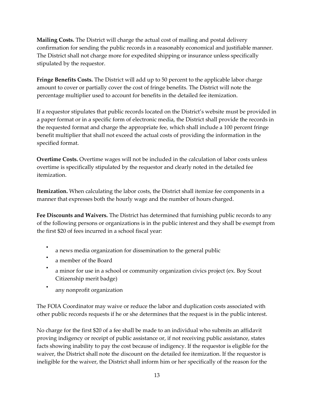**Mailing Costs.** The District will charge the actual cost of mailing and postal delivery confirmation for sending the public records in a reasonably economical and justifiable manner. The District shall not charge more for expedited shipping or insurance unless specifically stipulated by the requestor.

**Fringe Benefits Costs.** The District will add up to 50 percent to the applicable labor charge amount to cover or partially cover the cost of fringe benefits. The District will note the percentage multiplier used to account for benefits in the detailed fee itemization.

If a requestor stipulates that public records located on the District's website must be provided in a paper format or in a specific form of electronic media, the District shall provide the records in the requested format and charge the appropriate fee, which shall include a 100 percent fringe benefit multiplier that shall not exceed the actual costs of providing the information in the specified format.

**Overtime Costs.** Overtime wages will not be included in the calculation of labor costs unless overtime is specifically stipulated by the requestor and clearly noted in the detailed fee itemization.

**Itemization.** When calculating the labor costs, the District shall itemize fee components in a manner that expresses both the hourly wage and the number of hours charged.

**Fee Discounts and Waivers.** The District has determined that furnishing public records to any of the following persons or organizations is in the public interest and they shall be exempt from the first \$20 of fees incurred in a school fiscal year:

- a news media organization for dissemination to the general public
- a member of the Board
- a minor for use in a school or community organization civics project (ex. Boy Scout Citizenship merit badge)
- any nonprofit organization

The FOIA Coordinator may waive or reduce the labor and duplication costs associated with other public records requests if he or she determines that the request is in the public interest.

No charge for the first \$20 of a fee shall be made to an individual who submits an affidavit proving indigency or receipt of public assistance or, if not receiving public assistance, states facts showing inability to pay the cost because of indigency. If the requestor is eligible for the waiver, the District shall note the discount on the detailed fee itemization. If the requestor is ineligible for the waiver, the District shall inform him or her specifically of the reason for the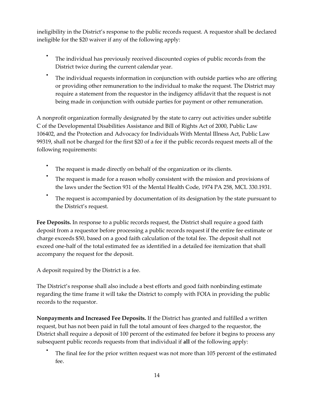ineligibility in the District's response to the public records request. A requestor shall be declared ineligible for the \$20 waiver if any of the following apply:

- The individual has previously received discounted copies of public records from the District twice during the current calendar year.
- The individual requests information in conjunction with outside parties who are offering or providing other remuneration to the individual to make the request. The District may require a statement from the requestor in the indigency affidavit that the request is not being made in conjunction with outside parties for payment or other remuneration.

A nonprofit organization formally designated by the state to carry out activities under subtitle C of the Developmental Disabilities Assistance and Bill of Rights Act of 2000, Public Law 106402, and the Protection and Advocacy for Individuals With Mental Illness Act, Public Law 99319, shall not be charged for the first \$20 of a fee if the public records request meets all of the following requirements:

- The request is made directly on behalf of the organization or its clients.
- The request is made for a reason wholly consistent with the mission and provisions of the laws under the Section 931 of the Mental Health Code, 1974 PA 258, MCL 330.1931.
- The request is accompanied by documentation of its designation by the state pursuant to the District's request.

**Fee Deposits.** In response to a public records request, the District shall require a good faith deposit from a requestor before processing a public records request if the entire fee estimate or charge exceeds \$50, based on a good faith calculation of the total fee. The deposit shall not exceed one-half of the total estimated fee as identified in a detailed fee itemization that shall accompany the request for the deposit.

A deposit required by the District is a fee.

•

The District's response shall also include a best efforts and good faith nonbinding estimate regarding the time frame it will take the District to comply with FOIA in providing the public records to the requestor.

**Nonpayments and Increased Fee Deposits.** If the District has granted and fulfilled a written request, but has not been paid in full the total amount of fees charged to the requestor, the District shall require a deposit of 100 percent of the estimated fee before it begins to process any subsequent public records requests from that individual if **all** of the following apply:

The final fee for the prior written request was not more than 105 percent of the estimated fee.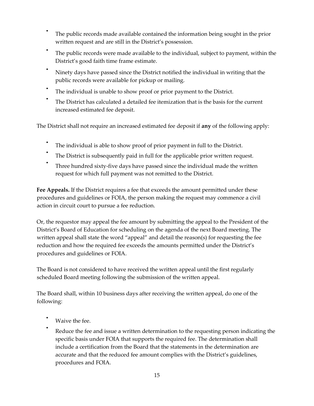- The public records made available contained the information being sought in the prior written request and are still in the District's possession.
- The public records were made available to the individual, subject to payment, within the District's good faith time frame estimate.
- Ninety days have passed since the District notified the individual in writing that the public records were available for pickup or mailing.
- The individual is unable to show proof or prior payment to the District.
- The District has calculated a detailed fee itemization that is the basis for the current increased estimated fee deposit.

The District shall not require an increased estimated fee deposit if **any** of the following apply:

- The individual is able to show proof of prior payment in full to the District.
- The District is subsequently paid in full for the applicable prior written request.
- Three hundred sixty-five days have passed since the individual made the written request for which full payment was not remitted to the District.

**Fee Appeals.** If the District requires a fee that exceeds the amount permitted under these procedures and guidelines or FOIA, the person making the request may commence a civil action in circuit court to pursue a fee reduction.

Or, the requestor may appeal the fee amount by submitting the appeal to the President of the District's Board of Education for scheduling on the agenda of the next Board meeting. The written appeal shall state the word "appeal" and detail the reason(s) for requesting the fee reduction and how the required fee exceeds the amounts permitted under the District's procedures and guidelines or FOIA.

The Board is not considered to have received the written appeal until the first regularly scheduled Board meeting following the submission of the written appeal.

The Board shall, within 10 business days after receiving the written appeal, do one of the following:

- Waive the fee.
- Reduce the fee and issue a written determination to the requesting person indicating the specific basis under FOIA that supports the required fee. The determination shall include a certification from the Board that the statements in the determination are accurate and that the reduced fee amount complies with the District's guidelines, procedures and FOIA.